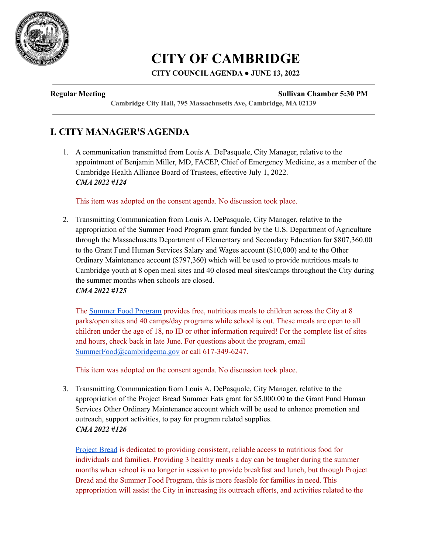

# **CITY OF CAMBRIDGE**

## **CITY COUNCILAGENDA ● JUNE 13, 2022**

#### **Regular Meeting Sullivan Chamber 5:30 PM**

**Cambridge City Hall, 795 Massachusetts Ave, Cambridge, MA 02139**

## **I. CITY MANAGER'S AGENDA**

1. A communication transmitted from Louis A. DePasquale, City Manager, relative to the appointment of Benjamin Miller, MD, FACEP, Chief of Emergency Medicine, as a member of the Cambridge Health Alliance Board of Trustees, effective July 1, 2022. *CMA 2022 #124*

This item was adopted on the consent agenda. No discussion took place.

2. Transmitting Communication from Louis A. DePasquale, City Manager, relative to the appropriation of the Summer Food Program grant funded by the U.S. Department of Agriculture through the Massachusetts Department of Elementary and Secondary Education for \$807,360.00 to the Grant Fund Human Services Salary and Wages account (\$10,000) and to the Other Ordinary Maintenance account (\$797,360) which will be used to provide nutritious meals to Cambridge youth at 8 open meal sites and 40 closed meal sites/camps throughout the City during the summer months when schools are closed. *CMA 2022 #125*

The Summer Food [Program](https://www.cambridgema.gov/Services/summerfoodprogram) provides free, nutritious meals to children across the City at 8 parks/open sites and 40 camps/day programs while school is out. These meals are open to all children under the age of 18, no ID or other information required! For the complete list of sites and hours, check back in late June. For questions about the program, email [SummerFood@cambridgema.gov](mailto:SummerFood@cambridgema.gov) or call 617-349-6247.

This item was adopted on the consent agenda. No discussion took place.

3. Transmitting Communication from Louis A. DePasquale, City Manager, relative to the appropriation of the Project Bread Summer Eats grant for \$5,000.00 to the Grant Fund Human Services Other Ordinary Maintenance account which will be used to enhance promotion and outreach, support activities, to pay for program related supplies. *CMA 2022 #126*

[Project](https://www.projectbread.org/get-help) Bread is dedicated to providing consistent, reliable access to nutritious food for individuals and families. Providing 3 healthy meals a day can be tougher during the summer months when school is no longer in session to provide breakfast and lunch, but through Project Bread and the Summer Food Program, this is more feasible for families in need. This appropriation will assist the City in increasing its outreach efforts, and activities related to the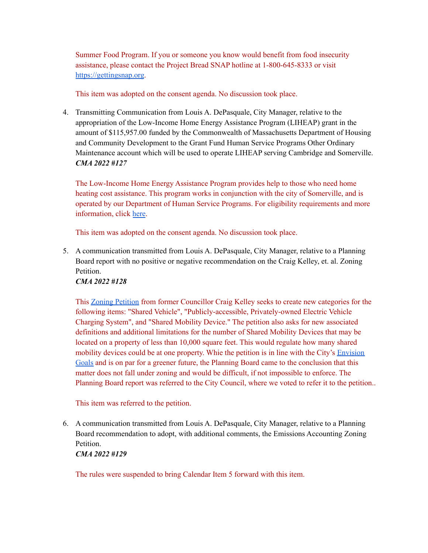Summer Food Program. If you or someone you know would benefit from food insecurity assistance, please contact the Project Bread SNAP hotline at 1-800-645-8333 or visit <https://gettingsnap.org>.

This item was adopted on the consent agenda. No discussion took place.

4. Transmitting Communication from Louis A. DePasquale, City Manager, relative to the appropriation of the Low-Income Home Energy Assistance Program (LIHEAP) grant in the amount of \$115,957.00 funded by the Commonwealth of Massachusetts Department of Housing and Community Development to the Grant Fund Human Service Programs Other Ordinary Maintenance account which will be used to operate LIHEAP serving Cambridge and Somerville. *CMA 2022 #127*

The Low-Income Home Energy Assistance Program provides help to those who need home heating cost assistance. This program works in conjunction with the city of Somerville, and is operated by our Department of Human Service Programs. For eligibility requirements and more information, click [here](https://www.cambridgema.gov/iwantto/applyforfuelassistance).

This item was adopted on the consent agenda. No discussion took place.

5. A communication transmitted from Louis A. DePasquale, City Manager, relative to a Planning Board report with no positive or negative recommendation on the Craig Kelley, et. al. Zoning **Petition** 

## *CMA 2022 #128*

This Zoning [Petition](https://cambridgema.iqm2.com/Citizens/Detail_LegiFile.aspx?Frame=None&MeetingID=4032&MediaPosition=&ID=16446&CssClass=) from former Councillor Craig Kelley seeks to create new categories for the following items: "Shared Vehicle", "Publicly-accessible, Privately-owned Electric Vehicle Charging System", and "Shared Mobility Device." The petition also asks for new associated definitions and additional limitations for the number of Shared Mobility Devices that may be located on a property of less than 10,000 square feet. This would regulate how many shared mobility devices could be at one property. Whie the petition is in line with the City's **[Envision](http://envision.cambridgema.gov)** [Goals](http://envision.cambridgema.gov) and is on par for a greener future, the Planning Board came to the conclusion that this matter does not fall under zoning and would be difficult, if not impossible to enforce. The Planning Board report was referred to the City Council, where we voted to refer it to the petition..

This item was referred to the petition.

6. A communication transmitted from Louis A. DePasquale, City Manager, relative to a Planning Board recommendation to adopt, with additional comments, the Emissions Accounting Zoning Petition.

*CMA 2022 #129*

The rules were suspended to bring Calendar Item 5 forward with this item.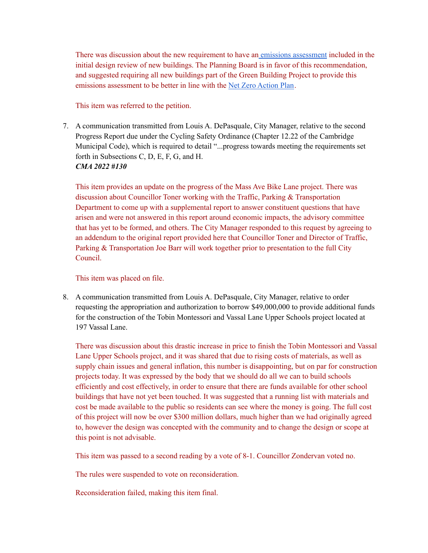There was discussion about the new requirement to have an emissions [assessment](https://cambridgema.iqm2.com/Citizens/Detail_LegiFile.aspx?Frame=None&MeetingID=4032&MediaPosition=&ID=16387&CssClass=) included in the initial design review of new buildings. The Planning Board is in favor of this recommendation, and suggested requiring all new buildings part of the Green Building Project to provide this emissions assessment to be better in line with the Net Zero [Action](https://www.cambridgema.gov/CDD/Projects/Climate/netzerotaskforce#:~:text=In%20December%202013%2C%20the%20City,gas%20emissions%20from%20building%20operations.) Plan.

#### This item was referred to the petition.

7. A communication transmitted from Louis A. DePasquale, City Manager, relative to the second Progress Report due under the Cycling Safety Ordinance (Chapter 12.22 of the Cambridge Municipal Code), which is required to detail "...progress towards meeting the requirements set forth in Subsections C, D, E, F, G, and H. *CMA 2022 #130*

This item provides an update on the progress of the Mass Ave Bike Lane project. There was discussion about Councillor Toner working with the Traffic, Parking & Transportation Department to come up with a supplemental report to answer constituent questions that have arisen and were not answered in this report around economic impacts, the advisory committee that has yet to be formed, and others. The City Manager responded to this request by agreeing to an addendum to the original report provided here that Councillor Toner and Director of Traffic, Parking & Transportation Joe Barr will work together prior to presentation to the full City Council.

#### This item was placed on file.

8. A communication transmitted from Louis A. DePasquale, City Manager, relative to order requesting the appropriation and authorization to borrow \$49,000,000 to provide additional funds for the construction of the Tobin Montessori and Vassal Lane Upper Schools project located at 197 Vassal Lane.

There was discussion about this drastic increase in price to finish the Tobin Montessori and Vassal Lane Upper Schools project, and it was shared that due to rising costs of materials, as well as supply chain issues and general inflation, this number is disappointing, but on par for construction projects today. It was expressed by the body that we should do all we can to build schools efficiently and cost effectively, in order to ensure that there are funds available for other school buildings that have not yet been touched. It was suggested that a running list with materials and cost be made available to the public so residents can see where the money is going. The full cost of this project will now be over \$300 million dollars, much higher than we had originally agreed to, however the design was concepted with the community and to change the design or scope at this point is not advisable.

This item was passed to a second reading by a vote of 8-1. Councillor Zondervan voted no.

The rules were suspended to vote on reconsideration.

Reconsideration failed, making this item final.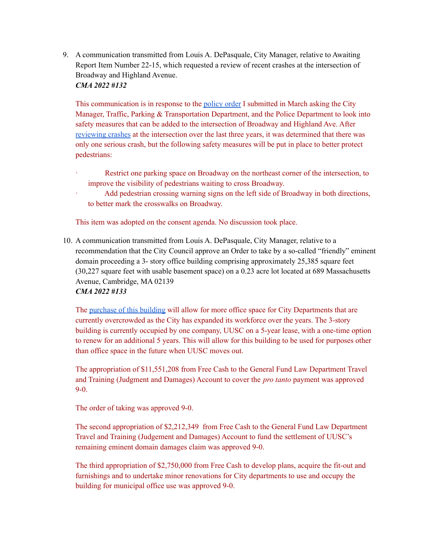9. A communication transmitted from Louis A. DePasquale, City Manager, relative to Awaiting Report Item Number 22-15, which requested a review of recent crashes at the intersection of Broadway and Highland Avenue.

*CMA 2022 #132*

This communication is in response to the [policy](https://cambridgema.iqm2.com/Citizens/Detail_LegiFile.aspx?ID=15883) order I submitted in March asking the City Manager, Traffic, Parking & Transportation Department, and the Police Department to look into safety measures that can be added to the intersection of Broadway and Highland Ave. After [reviewing](https://cambridgema.iqm2.com/Citizens/Detail_LegiFile.aspx?Frame=None&MeetingID=4032&MediaPosition=&ID=16480&CssClass=) crashes at the intersection over the last three years, it was determined that there was only one serious crash, but the following safety measures will be put in place to better protect pedestrians:

- Restrict one parking space on Broadway on the northeast corner of the intersection, to improve the visibility of pedestrians waiting to cross Broadway.
- Add pedestrian crossing warning signs on the left side of Broadway in both directions, to better mark the crosswalks on Broadway.

This item was adopted on the consent agenda. No discussion took place.

10. A communication transmitted from Louis A. DePasquale, City Manager, relative to a recommendation that the City Council approve an Order to take by a so-called "friendly" eminent domain proceeding a 3- story office building comprising approximately 25,385 square feet (30,227 square feet with usable basement space) on a 0.23 acre lot located at 689 Massachusetts Avenue, Cambridge, MA 02139 *CMA 2022 #133*

The [purchase](https://cambridgema.iqm2.com/Citizens/Detail_LegiFile.aspx?Frame=None&MeetingID=4032&MediaPosition=&ID=16476&CssClass=) of this building will allow for more office space for City Departments that are currently overcrowded as the City has expanded its workforce over the years. The 3-story building is currently occupied by one company, UUSC on a 5-year lease, with a one-time option to renew for an additional 5 years. This will allow for this building to be used for purposes other than office space in the future when UUSC moves out.

The appropriation of \$11,551,208 from Free Cash to the General Fund Law Department Travel and Training (Judgment and Damages) Account to cover the *pro tanto* payment was approved 9-0.

The order of taking was approved 9-0.

The second appropriation of \$2,212,349 from Free Cash to the General Fund Law Department Travel and Training (Judgement and Damages) Account to fund the settlement of UUSC's remaining eminent domain damages claim was approved 9-0.

The third appropriation of \$2,750,000 from Free Cash to develop plans, acquire the fit-out and furnishings and to undertake minor renovations for City departments to use and occupy the building for municipal office use was approved 9-0.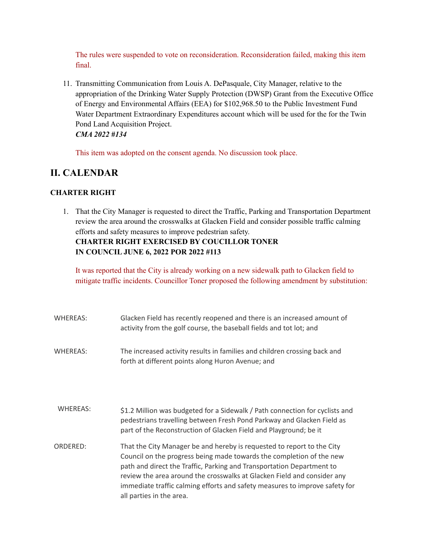The rules were suspended to vote on reconsideration. Reconsideration failed, making this item final.

11. Transmitting Communication from Louis A. DePasquale, City Manager, relative to the appropriation of the Drinking Water Supply Protection (DWSP) Grant from the Executive Office of Energy and Environmental Affairs (EEA) for \$102,968.50 to the Public Investment Fund Water Department Extraordinary Expenditures account which will be used for the for the Twin Pond Land Acquisition Project. *CMA 2022 #134*

This item was adopted on the consent agenda. No discussion took place.

## **II. CALENDAR**

## **CHARTER RIGHT**

1. That the City Manager is requested to direct the Traffic, Parking and Transportation Department review the area around the crosswalks at Glacken Field and consider possible traffic calming efforts and safety measures to improve pedestrian safety. **CHARTER RIGHT EXERCISED BY COUCILLOR TONER IN COUNCIL JUNE 6, 2022 POR 2022 #113**

It was reported that the City is already working on a new sidewalk path to Glacken field to mitigate traffic incidents. Councillor Toner proposed the following amendment by substitution:

| WHEREAS:        | Glacken Field has recently reopened and there is an increased amount of<br>activity from the golf course, the baseball fields and tot lot; and                                                                                                                                                                                                                                                                |
|-----------------|---------------------------------------------------------------------------------------------------------------------------------------------------------------------------------------------------------------------------------------------------------------------------------------------------------------------------------------------------------------------------------------------------------------|
| WHEREAS:        | The increased activity results in families and children crossing back and<br>forth at different points along Huron Avenue; and                                                                                                                                                                                                                                                                                |
| <b>WHEREAS:</b> | \$1.2 Million was budgeted for a Sidewalk / Path connection for cyclists and<br>pedestrians travelling between Fresh Pond Parkway and Glacken Field as<br>part of the Reconstruction of Glacken Field and Playground; be it                                                                                                                                                                                   |
| ORDERED:        | That the City Manager be and hereby is requested to report to the City<br>Council on the progress being made towards the completion of the new<br>path and direct the Traffic, Parking and Transportation Department to<br>review the area around the crosswalks at Glacken Field and consider any<br>immediate traffic calming efforts and safety measures to improve safety for<br>all parties in the area. |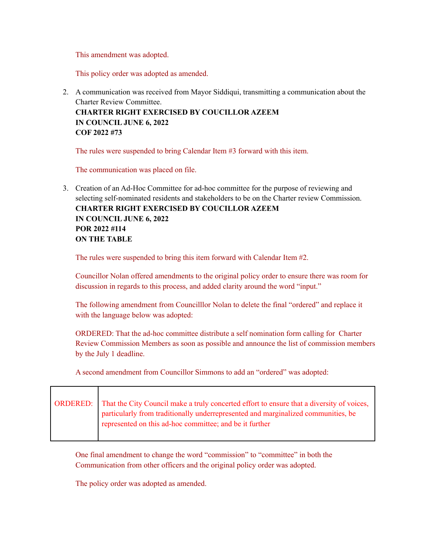This amendment was adopted.

This policy order was adopted as amended.

2. A communication was received from Mayor Siddiqui, transmitting a communication about the Charter Review Committee. **CHARTER RIGHT EXERCISED BY COUCILLOR AZEEM IN COUNCIL JUNE 6, 2022 COF 2022 #73**

The rules were suspended to bring Calendar Item #3 forward with this item.

The communication was placed on file.

3. Creation of an Ad-Hoc Committee for ad-hoc committee for the purpose of reviewing and selecting self-nominated residents and stakeholders to be on the Charter review Commission. **CHARTER RIGHT EXERCISED BY COUCILLOR AZEEM IN COUNCIL JUNE 6, 2022 POR 2022 #114 ON THE TABLE**

The rules were suspended to bring this item forward with Calendar Item #2.

Councillor Nolan offered amendments to the original policy order to ensure there was room for discussion in regards to this process, and added clarity around the word "input."

The following amendment from Councilllor Nolan to delete the final "ordered" and replace it with the language below was adopted:

ORDERED: That the ad-hoc committee distribute a self nomination form calling for Charter Review Commission Members as soon as possible and announce the list of commission members by the July 1 deadline.

A second amendment from Councillor Simmons to add an "ordered" was adopted:

| ORDERED: That the City Council make a truly concerted effort to ensure that a diversity of voices,<br>particularly from traditionally underrepresented and marginalized communities, be<br>represented on this ad-hoc committee; and be it further |
|----------------------------------------------------------------------------------------------------------------------------------------------------------------------------------------------------------------------------------------------------|
|                                                                                                                                                                                                                                                    |

One final amendment to change the word "commission" to "committee" in both the Communication from other officers and the original policy order was adopted.

The policy order was adopted as amended.

┯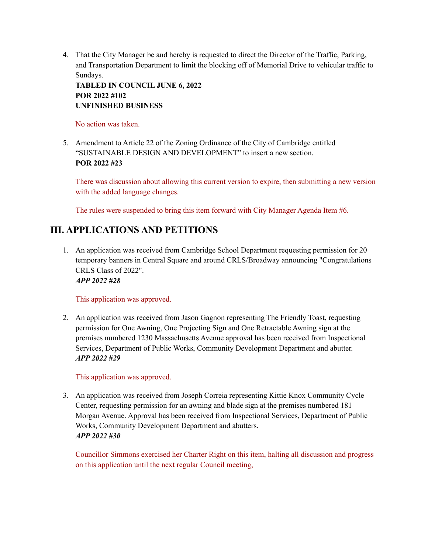4. That the City Manager be and hereby is requested to direct the Director of the Traffic, Parking, and Transportation Department to limit the blocking off of Memorial Drive to vehicular traffic to Sundays.

**TABLED IN COUNCIL JUNE 6, 2022 POR 2022 #102 UNFINISHED BUSINESS**

No action was taken.

5. Amendment to Article 22 of the Zoning Ordinance of the City of Cambridge entitled "SUSTAINABLE DESIGN AND DEVELOPMENT" to insert a new section. **POR 2022 #23**

There was discussion about allowing this current version to expire, then submitting a new version with the added language changes.

The rules were suspended to bring this item forward with City Manager Agenda Item #6.

## **III. APPLICATIONS AND PETITIONS**

1. An application was received from Cambridge School Department requesting permission for 20 temporary banners in Central Square and around CRLS/Broadway announcing "Congratulations CRLS Class of 2022". *APP 2022 #28*

This application was approved.

2. An application was received from Jason Gagnon representing The Friendly Toast, requesting permission for One Awning, One Projecting Sign and One Retractable Awning sign at the premises numbered 1230 Massachusetts Avenue approval has been received from Inspectional Services, Department of Public Works, Community Development Department and abutter. *APP 2022 #29*

This application was approved.

3. An application was received from Joseph Correia representing Kittie Knox Community Cycle Center, requesting permission for an awning and blade sign at the premises numbered 181 Morgan Avenue. Approval has been received from Inspectional Services, Department of Public Works, Community Development Department and abutters. *APP 2022 #30*

Councillor Simmons exercised her Charter Right on this item, halting all discussion and progress on this application until the next regular Council meeting,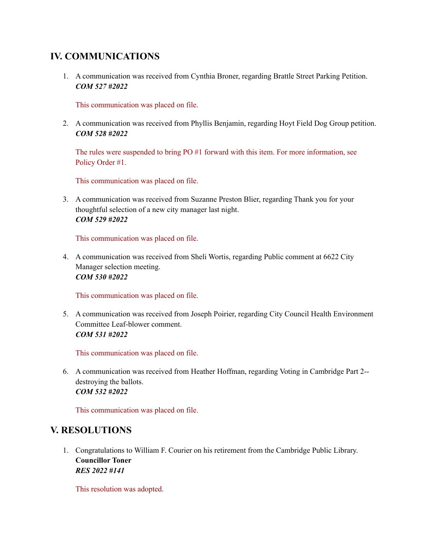## **IV. COMMUNICATIONS**

1. A communication was received from Cynthia Broner, regarding Brattle Street Parking Petition. *COM 527 #2022*

This communication was placed on file.

2. A communication was received from Phyllis Benjamin, regarding Hoyt Field Dog Group petition. *COM 528 #2022*

The rules were suspended to bring PO #1 forward with this item. For more information, see Policy Order #1.

This communication was placed on file.

3. A communication was received from Suzanne Preston Blier, regarding Thank you for your thoughtful selection of a new city manager last night. *COM 529 #2022*

This communication was placed on file.

4. A communication was received from Sheli Wortis, regarding Public comment at 6622 City Manager selection meeting. *COM 530 #2022*

This communication was placed on file.

5. A communication was received from Joseph Poirier, regarding City Council Health Environment Committee Leaf-blower comment. *COM 531 #2022*

This communication was placed on file.

6. A communication was received from Heather Hoffman, regarding Voting in Cambridge Part 2- destroying the ballots. *COM 532 #2022*

This communication was placed on file.

## **V. RESOLUTIONS**

1. Congratulations to William F. Courier on his retirement from the Cambridge Public Library. **Councillor Toner** *RES 2022 #141*

This resolution was adopted.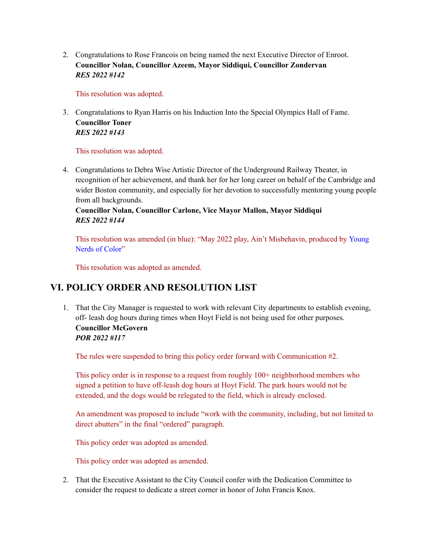2. Congratulations to Rose Francois on being named the next Executive Director of Enroot. **Councillor Nolan, Councillor Azeem, Mayor Siddiqui, Councillor Zondervan** *RES 2022 #142*

This resolution was adopted.

3. Congratulations to Ryan Harris on his Induction Into the Special Olympics Hall of Fame. **Councillor Toner** *RES 2022 #143*

This resolution was adopted.

4. Congratulations to Debra Wise Artistic Director of the Underground Railway Theater, in recognition of her achievement, and thank her for her long career on behalf of the Cambridge and wider Boston community, and especially for her devotion to successfully mentoring young people from all backgrounds.

**Councillor Nolan, Councillor Carlone, Vice Mayor Mallon, Mayor Siddiqui** *RES 2022 #144*

This resolution was amended (in blue): "May 2022 play, Ain't Misbehavin, produced by Young Nerds of Color"

This resolution was adopted as amended.

## **VI. POLICY ORDER AND RESOLUTION LIST**

1. That the City Manager is requested to work with relevant City departments to establish evening, off- leash dog hours during times when Hoyt Field is not being used for other purposes. **Councillor McGovern**

## *POR 2022 #117*

The rules were suspended to bring this policy order forward with Communication #2.

This policy order is in response to a request from roughly 100+ neighborhood members who signed a petition to have off-leash dog hours at Hoyt Field. The park hours would not be extended, and the dogs would be relegated to the field, which is already enclosed.

An amendment was proposed to include "work with the community, including, but not limited to direct abutters" in the final "ordered" paragraph.

This policy order was adopted as amended.

This policy order was adopted as amended.

2. That the Executive Assistant to the City Council confer with the Dedication Committee to consider the request to dedicate a street corner in honor of John Francis Knox.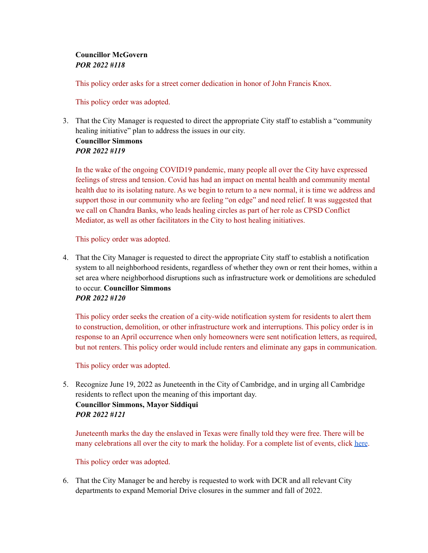#### **Councillor McGovern** *POR 2022 #118*

This policy order asks for a street corner dedication in honor of John Francis Knox.

This policy order was adopted.

3. That the City Manager is requested to direct the appropriate City staff to establish a "community healing initiative" plan to address the issues in our city. **Councillor Simmons**

## *POR 2022 #119*

In the wake of the ongoing COVID19 pandemic, many people all over the City have expressed feelings of stress and tension. Covid has had an impact on mental health and community mental health due to its isolating nature. As we begin to return to a new normal, it is time we address and support those in our community who are feeling "on edge" and need relief. It was suggested that we call on Chandra Banks, who leads healing circles as part of her role as CPSD Conflict Mediator, as well as other facilitators in the City to host healing initiatives.

This policy order was adopted.

4. That the City Manager is requested to direct the appropriate City staff to establish a notification system to all neighborhood residents, regardless of whether they own or rent their homes, within a set area where neighborhood disruptions such as infrastructure work or demolitions are scheduled to occur. **Councillor Simmons** *POR 2022 #120*

This policy order seeks the creation of a city-wide notification system for residents to alert them to construction, demolition, or other infrastructure work and interruptions. This policy order is in response to an April occurrence when only homeowners were sent notification letters, as required, but not renters. This policy order would include renters and eliminate any gaps in communication.

This policy order was adopted.

5. Recognize June 19, 2022 as Juneteenth in the City of Cambridge, and in urging all Cambridge residents to reflect upon the meaning of this important day. **Councillor Simmons, Mayor Siddiqui** *POR 2022 #121*

Juneteenth marks the day the enslaved in Texas were finally told they were free. There will be many celebrations all over the city to mark the holiday. For a complete list of events, click [here](https://www.cambridgema.gov/Departments/mayorsoffice/News/2022/06/juneteenthevents).

This policy order was adopted.

6. That the City Manager be and hereby is requested to work with DCR and all relevant City departments to expand Memorial Drive closures in the summer and fall of 2022.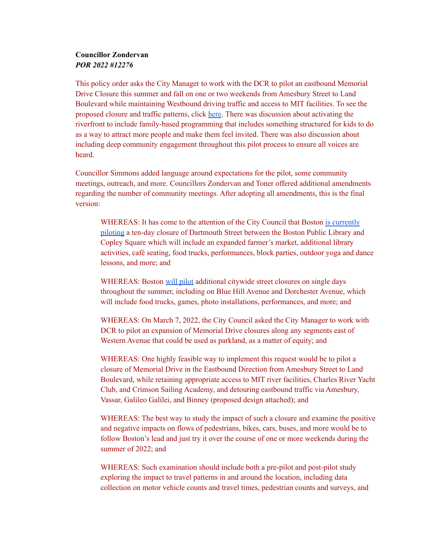#### **Councillor Zondervan** *POR 2022 #12276*

This policy order asks the City Manager to work with the DCR to pilot an eastbound Memorial Drive Closure this summer and fall on one or two weekends from Amesbury Street to Land Boulevard while maintaining Westbound driving traffic and access to MIT facilities. To see the proposed closure and traffic patterns, click [here.](https://cambridgema.iqm2.com/Citizens/Detail_LegiFile.aspx?Frame=None&MeetingID=4032&MediaPosition=&ID=16491&CssClass=) There was discussion about activating the riverfront to include family-based programming that includes something structured for kids to do as a way to attract more people and make them feel invited. There was also discussion about including deep community engagement throughout this pilot process to ensure all voices are heard.

Councillor Simmons added language around expectations for the pilot, some community meetings, outreach, and more. Councillors Zondervan and Toner offered additional amendments regarding the number of community meetings. After adopting all amendments, this is the final version:

WHEREAS: It has come to the attention of the City Council that Boston is [currently](https://www.boston.gov/departments/transportation/copley-connect) [piloting](https://www.boston.gov/departments/transportation/copley-connect) a ten-day closure of Dartmouth Street between the Boston Public Library and Copley Square which will include an expanded farmer's market, additional library activities, café seating, food trucks, performances, block parties, outdoor yoga and dance lessons, and more; and

WHEREAS: Boston will [pilot](https://www.wbur.org/news/2022/06/03/boston-open-streets-expansion-wu-announcement) additional citywide street closures on single days throughout the summer, including on Blue Hill Avenue and Dorchester Avenue, which will include food trucks, games, photo installations, performances, and more; and

WHEREAS: On March 7, 2022, the City Council asked the City Manager to work with DCR to pilot an expansion of Memorial Drive closures along any segments east of Western Avenue that could be used as parkland, as a matter of equity; and

WHEREAS: One highly feasible way to implement this request would be to pilot a closure of Memorial Drive in the Eastbound Direction from Amesbury Street to Land Boulevard, while retaining appropriate access to MIT river facilities, Charles River Yacht Club, and Crimson Sailing Academy, and detouring eastbound traffic via Amesbury, Vassar, Galileo Galilei, and Binney (proposed design attached); and

WHEREAS: The best way to study the impact of such a closure and examine the positive and negative impacts on flows of pedestrians, bikes, cars, buses, and more would be to follow Boston's lead and just try it over the course of one or more weekends during the summer of 2022; and

WHEREAS: Such examination should include both a pre-pilot and post-pilot study exploring the impact to travel patterns in and around the location, including data collection on motor vehicle counts and travel times, pedestrian counts and surveys, and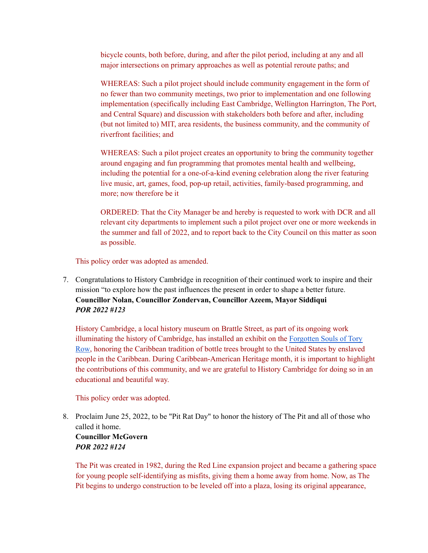bicycle counts, both before, during, and after the pilot period, including at any and all major intersections on primary approaches as well as potential reroute paths; and

WHEREAS: Such a pilot project should include community engagement in the form of no fewer than two community meetings, two prior to implementation and one following implementation (specifically including East Cambridge, Wellington Harrington, The Port, and Central Square) and discussion with stakeholders both before and after, including (but not limited to) MIT, area residents, the business community, and the community of riverfront facilities; and

WHEREAS: Such a pilot project creates an opportunity to bring the community together around engaging and fun programming that promotes mental health and wellbeing, including the potential for a one-of-a-kind evening celebration along the river featuring live music, art, games, food, pop-up retail, activities, family-based programming, and more; now therefore be it

ORDERED: That the City Manager be and hereby is requested to work with DCR and all relevant city departments to implement such a pilot project over one or more weekends in the summer and fall of 2022, and to report back to the City Council on this matter as soon as possible.

This policy order was adopted as amended.

7. Congratulations to History Cambridge in recognition of their continued work to inspire and their mission "to explore how the past influences the present in order to shape a better future. **Councillor Nolan, Councillor Zondervan, Councillor Azeem, Mayor Siddiqui** *POR 2022 #123*

History Cambridge, a local history museum on Brattle Street, as part of its ongoing work illuminating the history of Cambridge, has installed an exhibit on the [Forgotten](https://www.cambridgeday.com/2022/06/06/cambridges-caribbean-connection-runs-deep/) Souls of Tory [Row,](https://www.cambridgeday.com/2022/06/06/cambridges-caribbean-connection-runs-deep/) honoring the Caribbean tradition of bottle trees brought to the United States by enslaved people in the Caribbean. During Caribbean-American Heritage month, it is important to highlight the contributions of this community, and we are grateful to History Cambridge for doing so in an educational and beautiful way.

This policy order was adopted.

8. Proclaim June 25, 2022, to be "Pit Rat Day" to honor the history of The Pit and all of those who called it home. **Councillor McGovern**

## *POR 2022 #124*

The Pit was created in 1982, during the Red Line expansion project and became a gathering space for young people self-identifying as misfits, giving them a home away from home. Now, as The Pit begins to undergo construction to be leveled off into a plaza, losing its original appearance,